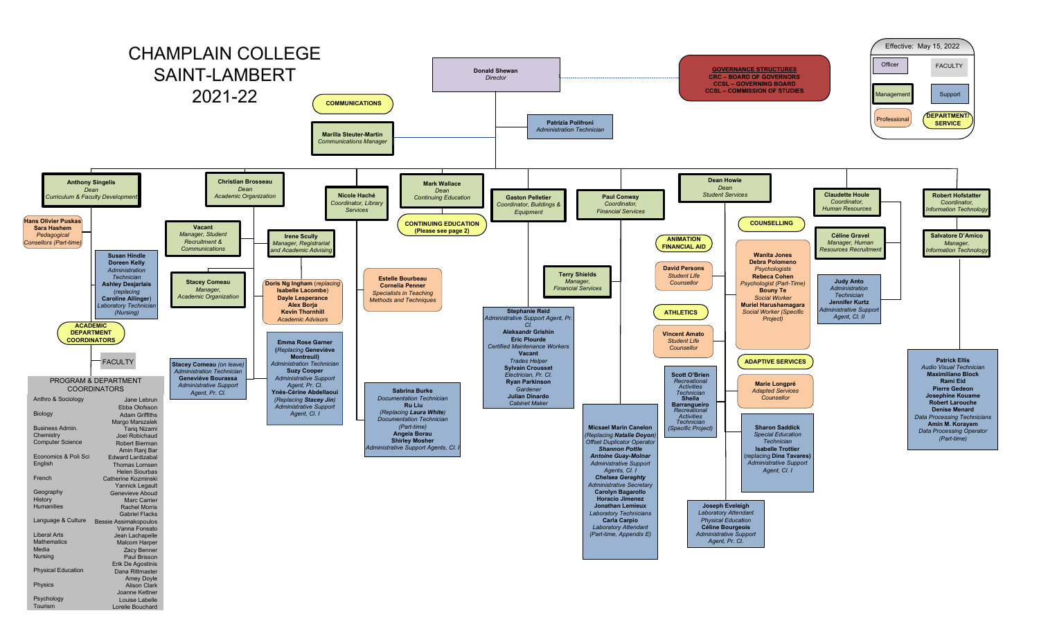

Psychology TourismLouise LabelleLorelie Bouchard